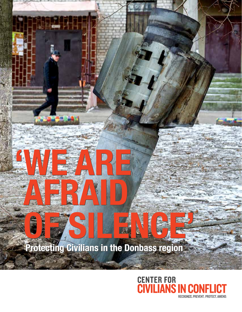# **OF SILENCE' Protecting Civilians in the Donbass region OF SILENCE' Protecting Civilians in the Donbass region**

**'WE ARE**

**'WE ARE**

**AFRAID**

**AFRAID**

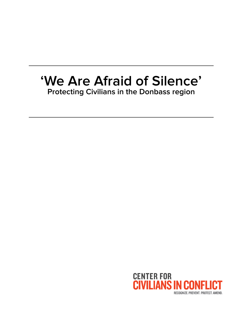# **'We Are Afraid of Silence' Protecting Civilians in the Donbass region**

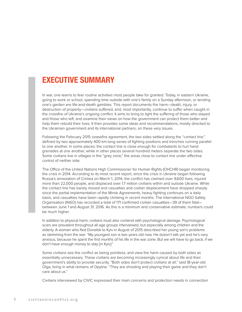## **EXECUTIVE SUMMARY**

In war, one learns to fear routine activities most people take for granted. Today, in eastern Ukraine, going to work or school, spending time outside with one's family on a Sunday afternoon, or tending one's garden are life-and-death gambles. This report documents the harm—death, injury, or destruction of property—civilians suffered, and, most importantly, continue to suffer when caught in the crossfire of Ukraine's ongoing conflict. It aims to bring to light the suffering of those who stayed and those who left, and examine their views on how the government can protect them better and help them rebuild their lives. It then provides some ideas and recommendations, mostly directed to the Ukrainian government and its international partners, on these very issues.

Following the February 2015 ceasefire agreement, the two sides settled along the "contact line," defined by two approximately 400 km-long series of fighting positions and trenches running parallel to one another. In some places, the contact line is close enough for combatants to hurl hand grenades at one another, while in other places several hundred meters separate the two sides. Some civilians live in villages in the "grey zone," the areas close to contact line under effective control of neither side.

The Office of the United Nations High Commissioner for Human Rights (OHCHR) began monitoring the crisis in 2014. According to its most recent report, since the crisis in Ukraine began following Russia's annexation of Crimea on March 1, 2014, the conflict has claimed over 9,600 lives, injured more than 22,000 people, and displaced over 1.7 million civilians within and outside Ukraine. While the contact line has barely moved and casualties and civilian displacement have dropped sharply since the partial implementation of the Minsk Agreements, heavy fighting continues on a daily basis, and casualties have been rapidly climbing in recent months. The International NGO Safety Organisation (INSO) has recorded a total of 171 confirmed civilian casualties—39 of them fatal between June 1 and August 31, 2016. As this is a minimum and conservative estimate, numbers could be much higher.

In addition to physical harm, civilians must also contend with psychological damage. Psychological scars are prevalent throughout all age groups interviewed, but especially among children and the elderly. A woman who fled Donetsk to Kyiv in August of 2015 described her young son's problems as stemming from the war: "My youngest son is two years old now. He doesn't talk yet and he's very anxious, because he spent the first months of his life in the war zone. But we will have to go back, if we don't have enough money to stay [in Kyiv]."

Some civilians see the conflict as being pointless, and view the harm caused by both sides as essentially unnecessary. These civilians are becoming increasingly cynical about life and their government's ability to provide security. "Both sides don't protect civilians at all," said 18-year-old Olga, living in what remains of Opytne. "They are shooting and playing their game and they don't care about us."

Civilians interviewed by CIVIC expressed their main concerns and protection needs in connection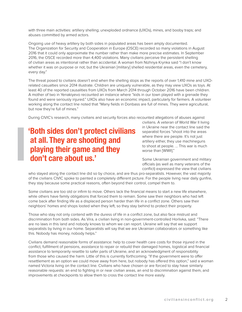with three main activities: artillery shelling; unexploded ordnance (UXOs), mines, and booby traps; and abuses committed by armed actors.

Ongoing use of heavy artillery by both sides in populated areas has been amply documented. The Organization for Security and Cooperation in Europe (OSCE) recorded so many violations in August 2016 that it could only approximate the number rather than make more precise estimates. In September 2016, the OSCE recorded more than 4,400 violations. Many civilians perceive the persistent shelling of civilian areas as intentional rather than accidental. A woman from Nizhnya Krynka said "I don't know whether it was on purpose or not, but the Ukrainian [military] shelled residential areas, even the cemetery, every day."

The threat posed to civilians doesn't end when the shelling stops as the reports of over 1,410 mine and UXOrelated casualties since 2014 illustrate. Children are uniquely vulnerable, as they may view UXOs as toys. At least 40 of the reported causalities from UXOs from March 2014 through October 2016 have been children. A mother of two in Yenakiyevo recounted an instance where "kids in our town played with a grenade they found and were seriously injured." UXOs also have an economic impact, particularly for farmers. A volunteer working along the contact line noted that "Many fields in Donbass are full of mines. They were agricultural, but now they're full of mines."

During CIVIC's research, many civilians and security forces also recounted allegations of abuses against

# **'Both sides don't protect civilians at all. They are shooting and playing their game and they don't care about us.'**

civilians. A veteran of World War II living in Ukraine near the contact line said the separatist forces "shoot into the areas where there are people. It's not just artillery either, they use machineguns to shoot at people. ... This war is much worse than [WWII]."

Some Ukrainian government and military officials (as well as many veterans of the conflict) expressed the view that civilians

who stayed along the contact line did so by choice, and are thus pro-separatists. However, the vast majority of the civilians CIVIC spoke to painted a completely different picture. For the people living near daily gunfire, they stay because some practical reasons, often beyond their control, compel them to.

Some civilians are too old or infirm to move. Others lack the financial means to start a new life elsewhere, while others have family obligations that forced them to remain. Some saw their neighbors who had left come back after finding life as a displaced person harder than life in a conflict zone. Others saw their neighbors' homes and shops looted when they left, so they stay behind to protect their property.

Those who stay not only contend with the duress of life in a conflict zone, but also face mistrust and discrimination from both sides. As Vira, a civilian living in non-government-controlled Horlivka, said: "There are no laws in this land and nobody knows to whom we can report. Ukraine will say that we support separatists by living in our home. Separatists will say that we are Ukrainian collaborators or something like this. Nobody has money, nobody helps."

Civilians demand reasonable forms of assistance: help to cover health care costs for those injured in the conflict, fulfillment of pensions, assistance to repair or rebuild their damaged homes, logistical and financial assistance to temporarily resettle to safer parts of Ukraine, and an acknowledgment of responsibility from those who caused the harm. Little of this is currently forthcoming. "If the government were to offer resettlement as an option we could move away from here, but nobody has offered this option," said a woman named Victoria living on the contact line. Civilians who have chosen or are forced to stay have similarly reasonable requests: an end to fighting in or near civilian areas, an end to discrimination against them, and improvements at checkpoints to allow them to cross the contact line more easily.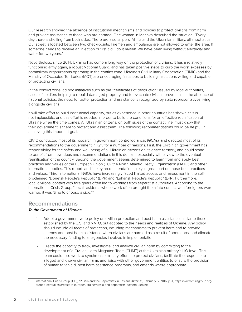Our research showed the absence of institutional mechanisms and policies to protect civilians from harm and provide assistance to those who are harmed. One woman in Marinka described the situation: "Every day there is shelling from both sides. There are also snipers. Militia and the Ukrainian military, all shoot at us. Our street is located between two check-points. Firemen and ambulance are not allowed to enter the area. If someone needs to receive an injection or first aid, I do it myself. We have been living without electricity and water for two years."

Nevertheless, since 2014, Ukraine has come a long way on the protection of civilians. It has a relatively functioning army again, a robust National Guard, and has taken positive steps to curb the worst excesses by paramilitary organizations operating in the conflict zone. Ukraine's Civil-Military Cooperation (CIMIC) and the Ministry of Occupied Territories (MOT) are encouraging first steps to building institutions willing and capable of protecting civilians.

In the conflict zone, ad hoc initiatives such as the "certificates of destruction" issued by local authorities, cases of soldiers helping to rebuild damaged property and to evacuate civilians prove that, in the absence of national policies, the need for better protection and assistance is recognized by state representatives living alongside civilians.

It will take effort to build institutional capacity, but as experience in other countries has shown, this is not implausible, and this effort is needed in order to build the conditions for an effective reunification of Ukraine when the time comes. All Ukrainian citizens, on both sides of the contact line, must know that their government is there to protect and assist them. The following recommendations could be helpful in achieving this important goal.

CIVIC conducted most of its research in government-controlled areas (GCAs), and directed most of its recommendations to the government in Kyiv for a number of reasons. First, the Ukrainian government has responsibility for the safety and well-being of all Ukrainian citizens on its entire territory, and could stand to benefit from new ideas and recommendations in this domain, especially with a view to the eventual reunification of the country. Second, the government seems determined to learn from and apply best practices and values of the European Union (EU), the North Atlantic Treaty Organization (NATO) and other international bodies. This report, and its key recommendations, rely in great part on those best practices and values. Third, international NGOs have increasingly faced limited access and harassment in the selfproclaimed "Donetsk People's Republic" (DPR) and "Luhansk People's Republic" (LPR). Furthermore, local civilians' contact with foreigners often led to warnings from separatist authorities. According to the International Crisis Group, "Local residents whose work often brought them into contact with foreigners were warned it was 'time to choose a side.'"1

### **Recommendations**

### **To the Government of Ukraine**

- 1. Adopt a government-wide policy on civilian protection and post-harm assistance similar to those established by the U.S. and NATO, but adapted to the needs and realities of Ukraine. Any policy should include all facets of protection, including mechanisms to prevent harm and to provide amends and post-harm assistance when civilians are harmed as a result of operations, and allocate the necessary funding to all agencies involved in implementation.
- 2. Create the capacity to track, investigate, and analyze civilian harm by committing to the development of a Civilian Harm Mitigation Team (CHMT) at the Ukrainian military's HQ level. This team could also work to synchronize military efforts to protect civilians, facilitate the response to alleged and known civilian harm, and liaise with other government entities to ensure the provision of humanitarian aid, post harm assistance programs, and amends where appropriate.

International Crisis Group (ICG), "Russia and the Separatists in Eastern Ukraine", February 5, 2016, p. 4, https://www.crisisgroup.org/ europe-central-asia/eastern-europe/ukraine/russia-and-separatists-eastern-ukraine.